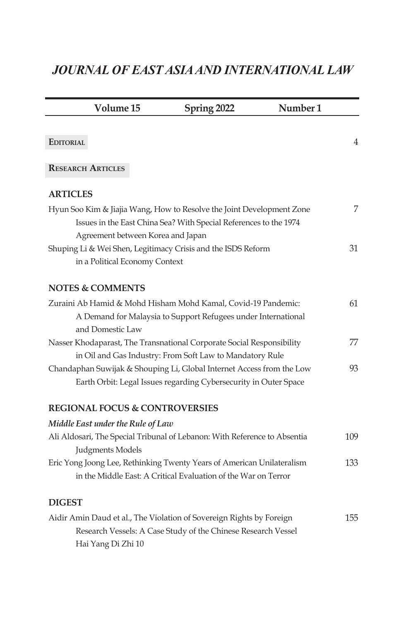## *JOURNAL OF EAST ASIA AND INTERNATIONAL LAW*

| Volume 15                                 | <b>Spring 2022</b>                                                                                                                                                              | Number <sub>1</sub> |
|-------------------------------------------|---------------------------------------------------------------------------------------------------------------------------------------------------------------------------------|---------------------|
| <b>EDITORIAL</b>                          |                                                                                                                                                                                 | 4                   |
| <b>RESEARCH ARTICLES</b>                  |                                                                                                                                                                                 |                     |
| <b>ARTICLES</b>                           |                                                                                                                                                                                 |                     |
|                                           | Hyun Soo Kim & Jiajia Wang, How to Resolve the Joint Development Zone<br>Issues in the East China Sea? With Special References to the 1974<br>Agreement between Korea and Japan | 7                   |
| in a Political Economy Context            | Shuping Li & Wei Shen, Legitimacy Crisis and the ISDS Reform                                                                                                                    | 31                  |
| <b>NOTES &amp; COMMENTS</b>               |                                                                                                                                                                                 |                     |
| and Domestic Law                          | Zuraini Ab Hamid & Mohd Hisham Mohd Kamal, Covid-19 Pandemic:<br>A Demand for Malaysia to Support Refugees under International                                                  | 61                  |
|                                           | Nasser Khodaparast, The Transnational Corporate Social Responsibility<br>in Oil and Gas Industry: From Soft Law to Mandatory Rule                                               | 77                  |
|                                           | Chandaphan Suwijak & Shouping Li, Global Internet Access from the Low<br>Earth Orbit: Legal Issues regarding Cybersecurity in Outer Space                                       | 93                  |
| <b>REGIONAL FOCUS &amp; CONTROVERSIES</b> |                                                                                                                                                                                 |                     |
| Middle East under the Rule of Law         |                                                                                                                                                                                 |                     |
| Judgments Models                          | Ali Aldosari, The Special Tribunal of Lebanon: With Reference to Absentia                                                                                                       | 109                 |
|                                           | Eric Yong Joong Lee, Rethinking Twenty Years of American Unilateralism<br>in the Middle East: A Critical Evaluation of the War on Terror                                        | 133                 |
| <b>DIGEST</b>                             |                                                                                                                                                                                 |                     |
| Hai Yang Di Zhi 10                        | Aidir Amin Daud et al., The Violation of Sovereign Rights by Foreign<br>Research Vessels: A Case Study of the Chinese Research Vessel                                           | 155                 |